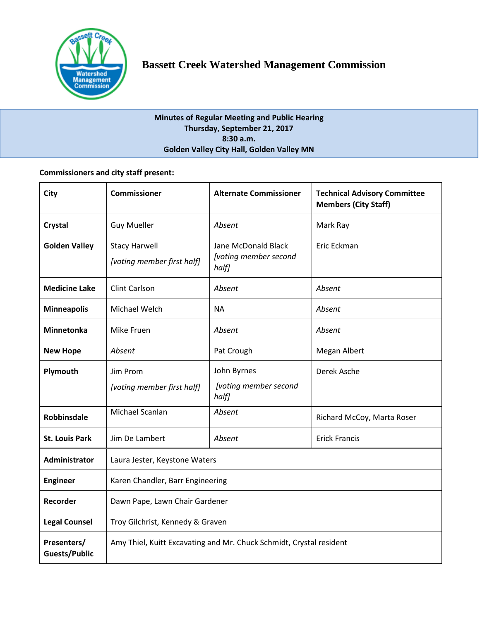

# **Minutes of Regular Meeting and Public Hearing Thursday, September 21, 2017 8:30 a.m. Golden Valley City Hall, Golden Valley MN**

# **Commissioners and city staff present:**

| City                                | Commissioner                                                        | <b>Alternate Commissioner</b>                         | <b>Technical Advisory Committee</b><br><b>Members (City Staff)</b> |
|-------------------------------------|---------------------------------------------------------------------|-------------------------------------------------------|--------------------------------------------------------------------|
| Crystal                             | <b>Guy Mueller</b>                                                  | Absent                                                | Mark Ray                                                           |
| <b>Golden Valley</b>                | <b>Stacy Harwell</b><br>[voting member first half]                  | Jane McDonald Black<br>[voting member second<br>half] | Eric Eckman                                                        |
| <b>Medicine Lake</b>                | <b>Clint Carlson</b>                                                | Absent                                                | Absent                                                             |
| <b>Minneapolis</b>                  | Michael Welch                                                       | <b>NA</b>                                             | Absent                                                             |
| <b>Minnetonka</b>                   | Mike Fruen                                                          | Absent                                                | Absent                                                             |
| <b>New Hope</b>                     | Absent                                                              | Pat Crough                                            | Megan Albert                                                       |
| Plymouth                            | Jim Prom                                                            | John Byrnes                                           | Derek Asche                                                        |
|                                     | [voting member first half]                                          | [voting member second<br>half]                        |                                                                    |
| <b>Robbinsdale</b>                  | Michael Scanlan                                                     | Absent                                                | Richard McCoy, Marta Roser                                         |
| <b>St. Louis Park</b>               | Jim De Lambert                                                      | Absent                                                | <b>Erick Francis</b>                                               |
| Administrator                       | Laura Jester, Keystone Waters                                       |                                                       |                                                                    |
| <b>Engineer</b>                     | Karen Chandler, Barr Engineering                                    |                                                       |                                                                    |
| Recorder                            | Dawn Pape, Lawn Chair Gardener                                      |                                                       |                                                                    |
| <b>Legal Counsel</b>                | Troy Gilchrist, Kennedy & Graven                                    |                                                       |                                                                    |
| Presenters/<br><b>Guests/Public</b> | Amy Thiel, Kuitt Excavating and Mr. Chuck Schmidt, Crystal resident |                                                       |                                                                    |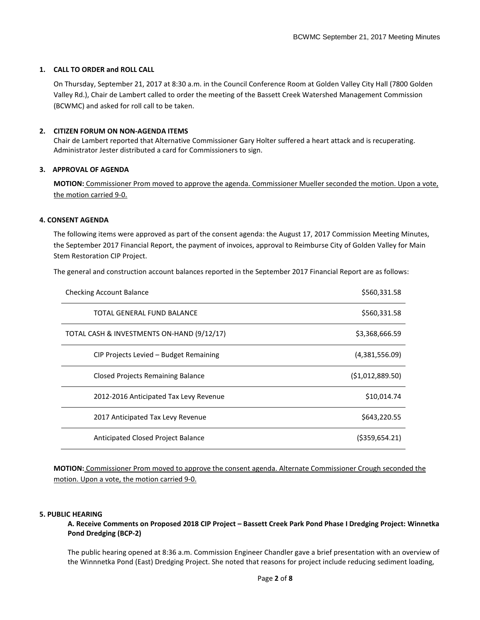### **1. CALL TO ORDER and ROLL CALL**

On Thursday, September 21, 2017 at 8:30 a.m. in the Council Conference Room at Golden Valley City Hall (7800 Golden Valley Rd.), Chair de Lambert called to order the meeting of the Bassett Creek Watershed Management Commission (BCWMC) and asked for roll call to be taken.

### **2. CITIZEN FORUM ON NON-AGENDA ITEMS**

Chair de Lambert reported that Alternative Commissioner Gary Holter suffered a heart attack and is recuperating. Administrator Jester distributed a card for Commissioners to sign.

#### **3. APPROVAL OF AGENDA**

**MOTION:** Commissioner Prom moved to approve the agenda. Commissioner Mueller seconded the motion. Upon a vote, the motion carried 9-0.

### **4. CONSENT AGENDA**

The following items were approved as part of the consent agenda: the August 17, 2017 Commission Meeting Minutes, the September 2017 Financial Report, the payment of invoices, approval to Reimburse City of Golden Valley for Main Stem Restoration CIP Project.

The general and construction account balances reported in the September 2017 Financial Report are as follows:

| <b>Checking Account Balance</b>            | \$560,331.58      |
|--------------------------------------------|-------------------|
| TOTAL GENERAL FUND BALANCE                 | \$560,331.58      |
| TOTAL CASH & INVESTMENTS ON-HAND (9/12/17) | \$3,368,666.59    |
| CIP Projects Levied - Budget Remaining     | (4,381,556.09)    |
| <b>Closed Projects Remaining Balance</b>   | (\$1,012,889.50)  |
| 2012-2016 Anticipated Tax Levy Revenue     | \$10,014.74       |
| 2017 Anticipated Tax Levy Revenue          | \$643,220.55      |
| Anticipated Closed Project Balance         | $($ \$359,654.21) |

**MOTION:** Commissioner Prom moved to approve the consent agenda. Alternate Commissioner Crough seconded the motion. Upon a vote, the motion carried 9-0.

#### **5. PUBLIC HEARING**

**A. Receive Comments on Proposed 2018 CIP Project – Bassett Creek Park Pond Phase I Dredging Project: Winnetka Pond Dredging (BCP-2)**

The public hearing opened at 8:36 a.m. Commission Engineer Chandler gave a brief presentation with an overview of the Winnnetka Pond (East) Dredging Project. She noted that reasons for project include reducing sediment loading,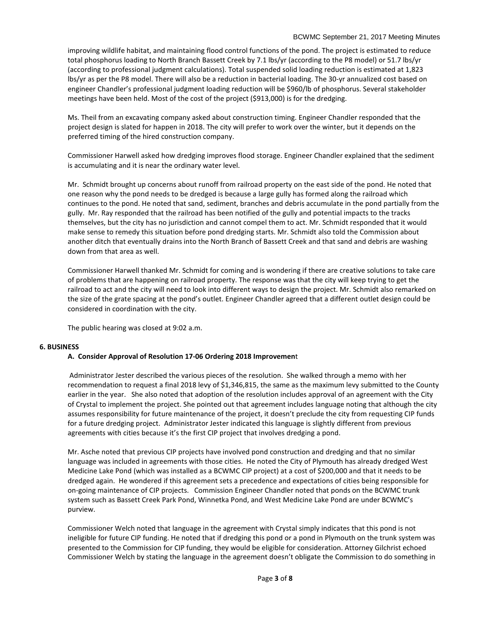#### BCWMC September 21, 2017 Meeting Minutes

improving wildlife habitat, and maintaining flood control functions of the pond. The project is estimated to reduce total phosphorus loading to North Branch Bassett Creek by 7.1 lbs/yr (according to the P8 model) or 51.7 lbs/yr (according to professional judgment calculations). Total suspended solid loading reduction is estimated at 1,823 lbs/yr as per the P8 model. There will also be a reduction in bacterial loading. The 30-yr annualized cost based on engineer Chandler's professional judgment loading reduction will be \$960/lb of phosphorus. Several stakeholder meetings have been held. Most of the cost of the project (\$913,000) is for the dredging.

Ms. Theil from an excavating company asked about construction timing. Engineer Chandler responded that the project design is slated for happen in 2018. The city will prefer to work over the winter, but it depends on the preferred timing of the hired construction company.

Commissioner Harwell asked how dredging improves flood storage. Engineer Chandler explained that the sediment is accumulating and it is near the ordinary water level.

Mr. Schmidt brought up concerns about runoff from railroad property on the east side of the pond. He noted that one reason why the pond needs to be dredged is because a large gully has formed along the railroad which continues to the pond. He noted that sand, sediment, branches and debris accumulate in the pond partially from the gully. Mr. Ray responded that the railroad has been notified of the gully and potential impacts to the tracks themselves, but the city has no jurisdiction and cannot compel them to act. Mr. Schmidt responded that it would make sense to remedy this situation before pond dredging starts. Mr. Schmidt also told the Commission about another ditch that eventually drains into the North Branch of Bassett Creek and that sand and debris are washing down from that area as well.

Commissioner Harwell thanked Mr. Schmidt for coming and is wondering if there are creative solutions to take care of problems that are happening on railroad property. The response was that the city will keep trying to get the railroad to act and the city will need to look into different ways to design the project. Mr. Schmidt also remarked on the size of the grate spacing at the pond's outlet. Engineer Chandler agreed that a different outlet design could be considered in coordination with the city.

The public hearing was closed at 9:02 a.m.

### **6. BUSINESS**

### **A. Consider Approval of Resolution 17-06 Ordering 2018 Improvemen**t

Administrator Jester described the various pieces of the resolution. She walked through a memo with her recommendation to request a final 2018 levy of \$1,346,815, the same as the maximum levy submitted to the County earlier in the year. She also noted that adoption of the resolution includes approval of an agreement with the City of Crystal to implement the project. She pointed out that agreement includes language noting that although the city assumes responsibility for future maintenance of the project, it doesn't preclude the city from requesting CIP funds for a future dredging project. Administrator Jester indicated this language is slightly different from previous agreements with cities because it's the first CIP project that involves dredging a pond.

Mr. Asche noted that previous CIP projects have involved pond construction and dredging and that no similar language was included in agreements with those cities. He noted the City of Plymouth has already dredged West Medicine Lake Pond (which was installed as a BCWMC CIP project) at a cost of \$200,000 and that it needs to be dredged again. He wondered if this agreement sets a precedence and expectations of cities being responsible for on-going maintenance of CIP projects. Commission Engineer Chandler noted that ponds on the BCWMC trunk system such as Bassett Creek Park Pond, Winnetka Pond, and West Medicine Lake Pond are under BCWMC's purview.

Commissioner Welch noted that language in the agreement with Crystal simply indicates that this pond is not ineligible for future CIP funding. He noted that if dredging this pond or a pond in Plymouth on the trunk system was presented to the Commission for CIP funding, they would be eligible for consideration. Attorney Gilchrist echoed Commissioner Welch by stating the language in the agreement doesn't obligate the Commission to do something in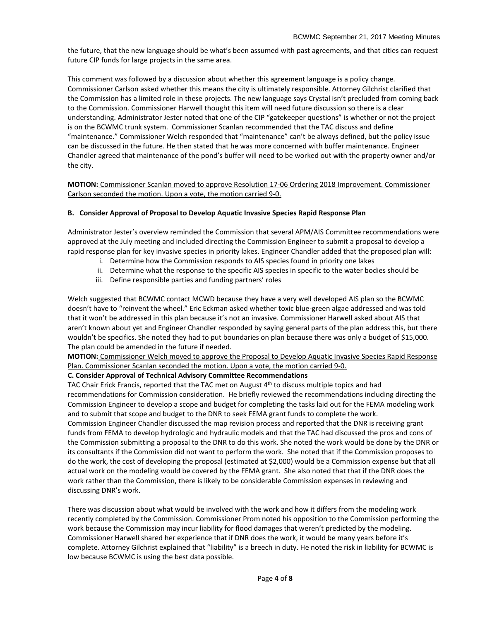the future, that the new language should be what's been assumed with past agreements, and that cities can request future CIP funds for large projects in the same area.

This comment was followed by a discussion about whether this agreement language is a policy change. Commissioner Carlson asked whether this means the city is ultimately responsible. Attorney Gilchrist clarified that the Commission has a limited role in these projects. The new language says Crystal isn't precluded from coming back to the Commission. Commissioner Harwell thought this item will need future discussion so there is a clear understanding. Administrator Jester noted that one of the CIP "gatekeeper questions" is whether or not the project is on the BCWMC trunk system. Commissioner Scanlan recommended that the TAC discuss and define "maintenance." Commissioner Welch responded that "maintenance" can't be always defined, but the policy issue can be discussed in the future. He then stated that he was more concerned with buffer maintenance. Engineer Chandler agreed that maintenance of the pond's buffer will need to be worked out with the property owner and/or the city.

**MOTION:** Commissioner Scanlan moved to approve Resolution 17-06 Ordering 2018 Improvement. Commissioner Carlson seconded the motion. Upon a vote, the motion carried 9-0.

### **B. Consider Approval of Proposal to Develop Aquatic Invasive Species Rapid Response Plan**

Administrator Jester's overview reminded the Commission that several APM/AIS Committee recommendations were approved at the July meeting and included directing the Commission Engineer to submit a proposal to develop a rapid response plan for key invasive species in priority lakes. Engineer Chandler added that the proposed plan will:

- i. Determine how the Commission responds to AIS species found in priority one lakes
- ii. Determine what the response to the specific AIS species in specific to the water bodies should be
- iii. Define responsible parties and funding partners' roles

Welch suggested that BCWMC contact MCWD because they have a very well developed AIS plan so the BCWMC doesn't have to "reinvent the wheel." Eric Eckman asked whether toxic blue-green algae addressed and was told that it won't be addressed in this plan because it's not an invasive. Commissioner Harwell asked about AIS that aren't known about yet and Engineer Chandler responded by saying general parts of the plan address this, but there wouldn't be specifics. She noted they had to put boundaries on plan because there was only a budget of \$15,000. The plan could be amended in the future if needed.

**MOTION:** Commissioner Welch moved to approve the Proposal to Develop Aquatic Invasive Species Rapid Response Plan. Commissioner Scanlan seconded the motion. Upon a vote, the motion carried 9-0.

### **C. Consider Approval of Technical Advisory Committee Recommendations**

TAC Chair Erick Francis, reported that the TAC met on August  $4<sup>th</sup>$  to discuss multiple topics and had recommendations for Commission consideration. He briefly reviewed the recommendations including directing the Commission Engineer to develop a scope and budget for completing the tasks laid out for the FEMA modeling work and to submit that scope and budget to the DNR to seek FEMA grant funds to complete the work.

Commission Engineer Chandler discussed the map revision process and reported that the DNR is receiving grant funds from FEMA to develop hydrologic and hydraulic models and that the TAC had discussed the pros and cons of the Commission submitting a proposal to the DNR to do this work. She noted the work would be done by the DNR or its consultants if the Commission did not want to perform the work. She noted that if the Commission proposes to do the work, the cost of developing the proposal (estimated at \$2,000) would be a Commission expense but that all actual work on the modeling would be covered by the FEMA grant. She also noted that that if the DNR does the work rather than the Commission, there is likely to be considerable Commission expenses in reviewing and discussing DNR's work.

There was discussion about what would be involved with the work and how it differs from the modeling work recently completed by the Commission. Commissioner Prom noted his opposition to the Commission performing the work because the Commission may incur liability for flood damages that weren't predicted by the modeling. Commissioner Harwell shared her experience that if DNR does the work, it would be many years before it's complete. Attorney Gilchrist explained that "liability" is a breech in duty. He noted the risk in liability for BCWMC is low because BCWMC is using the best data possible.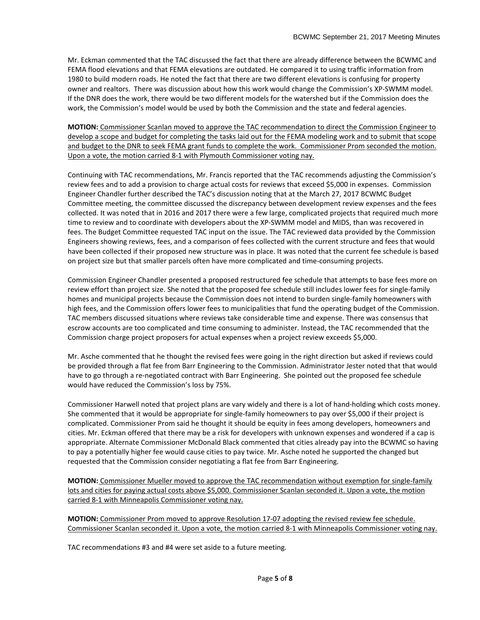Mr. Eckman commented that the TAC discussed the fact that there are already difference between the BCWMC and FEMA flood elevations and that FEMA elevations are outdated. He compared it to using traffic information from 1980 to build modern roads. He noted the fact that there are two different elevations is confusing for property owner and realtors. There was discussion about how this work would change the Commission's XP-SWMM model. If the DNR does the work, there would be two different models for the watershed but if the Commission does the work, the Commission's model would be used by both the Commission and the state and federal agencies.

**MOTION:** Commissioner Scanlan moved to approve the TAC recommendation to direct the Commission Engineer to develop a scope and budget for completing the tasks laid out for the FEMA modeling work and to submit that scope and budget to the DNR to seek FEMA grant funds to complete the work. Commissioner Prom seconded the motion. Upon a vote, the motion carried 8-1 with Plymouth Commissioner voting nay.

Continuing with TAC recommendations, Mr. Francis reported that the TAC recommends adjusting the Commission's review fees and to add a provision to charge actual costs for reviews that exceed \$5,000 in expenses. Commission Engineer Chandler further described the TAC's discussion noting that at the March 27, 2017 BCWMC Budget Committee meeting, the committee discussed the discrepancy between development review expenses and the fees collected. It was noted that in 2016 and 2017 there were a few large, complicated projects that required much more time to review and to coordinate with developers about the XP-SWMM model and MIDS, than was recovered in fees. The Budget Committee requested TAC input on the issue. The TAC reviewed data provided by the Commission Engineers showing reviews, fees, and a comparison of fees collected with the current structure and fees that would have been collected if their proposed new structure was in place. It was noted that the current fee schedule is based on project size but that smaller parcels often have more complicated and time-consuming projects.

Commission Engineer Chandler presented a proposed restructured fee schedule that attempts to base fees more on review effort than project size. She noted that the proposed fee schedule still includes lower fees for single-family homes and municipal projects because the Commission does not intend to burden single-family homeowners with high fees, and the Commission offers lower fees to municipalities that fund the operating budget of the Commission. TAC members discussed situations where reviews take considerable time and expense. There was consensus that escrow accounts are too complicated and time consuming to administer. Instead, the TAC recommended that the Commission charge project proposers for actual expenses when a project review exceeds \$5,000.

Mr. Asche commented that he thought the revised fees were going in the right direction but asked if reviews could be provided through a flat fee from Barr Engineering to the Commission. Administrator Jester noted that that would have to go through a re-negotiated contract with Barr Engineering. She pointed out the proposed fee schedule would have reduced the Commission's loss by 75%.

Commissioner Harwell noted that project plans are vary widely and there is a lot of hand-holding which costs money. She commented that it would be appropriate for single-family homeowners to pay over \$5,000 if their project is complicated. Commissioner Prom said he thought it should be equity in fees among developers, homeowners and cities. Mr. Eckman offered that there may be a risk for developers with unknown expenses and wondered if a cap is appropriate. Alternate Commissioner McDonald Black commented that cities already pay into the BCWMC so having to pay a potentially higher fee would cause cities to pay twice. Mr. Asche noted he supported the changed but requested that the Commission consider negotiating a flat fee from Barr Engineering.

**MOTION:** Commissioner Mueller moved to approve the TAC recommendation without exemption for single-family lots and cities for paying actual costs above \$5,000. Commissioner Scanlan seconded it. Upon a vote, the motion carried 8-1 with Minneapolis Commissioner voting nay.

**MOTION:** Commissioner Prom moved to approve Resolution 17-07 adopting the revised review fee schedule. Commissioner Scanlan seconded it. Upon a vote, the motion carried 8-1 with Minneapolis Commissioner voting nay.

TAC recommendations #3 and #4 were set aside to a future meeting.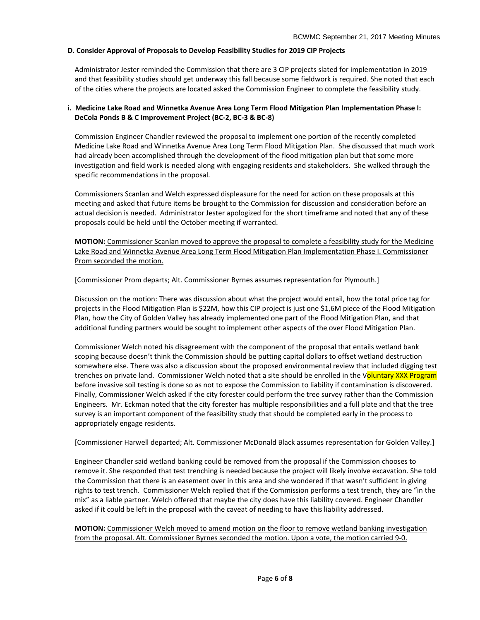### **D. Consider Approval of Proposals to Develop Feasibility Studies for 2019 CIP Projects**

Administrator Jester reminded the Commission that there are 3 CIP projects slated for implementation in 2019 and that feasibility studies should get underway this fall because some fieldwork is required. She noted that each of the cities where the projects are located asked the Commission Engineer to complete the feasibility study.

### **i. Medicine Lake Road and Winnetka Avenue Area Long Term Flood Mitigation Plan Implementation Phase I: DeCola Ponds B & C Improvement Project (BC-2, BC-3 & BC-8)**

Commission Engineer Chandler reviewed the proposal to implement one portion of the recently completed Medicine Lake Road and Winnetka Avenue Area Long Term Flood Mitigation Plan. She discussed that much work had already been accomplished through the development of the flood mitigation plan but that some more investigation and field work is needed along with engaging residents and stakeholders. She walked through the specific recommendations in the proposal.

Commissioners Scanlan and Welch expressed displeasure for the need for action on these proposals at this meeting and asked that future items be brought to the Commission for discussion and consideration before an actual decision is needed. Administrator Jester apologized for the short timeframe and noted that any of these proposals could be held until the October meeting if warranted.

**MOTION:** Commissioner Scanlan moved to approve the proposal to complete a feasibility study for the Medicine Lake Road and Winnetka Avenue Area Long Term Flood Mitigation Plan Implementation Phase I. Commissioner Prom seconded the motion.

[Commissioner Prom departs; Alt. Commissioner Byrnes assumes representation for Plymouth.]

Discussion on the motion: There was discussion about what the project would entail, how the total price tag for projects in the Flood Mitigation Plan is \$22M, how this CIP project is just one \$1,6M piece of the Flood Mitigation Plan, how the City of Golden Valley has already implemented one part of the Flood Mitigation Plan, and that additional funding partners would be sought to implement other aspects of the over Flood Mitigation Plan.

Commissioner Welch noted his disagreement with the component of the proposal that entails wetland bank scoping because doesn't think the Commission should be putting capital dollars to offset wetland destruction somewhere else. There was also a discussion about the proposed environmental review that included digging test trenches on private land. Commissioner Welch noted that a site should be enrolled in the Voluntary XXX Program before invasive soil testing is done so as not to expose the Commission to liability if contamination is discovered. Finally, Commissioner Welch asked if the city forester could perform the tree survey rather than the Commission Engineers. Mr. Eckman noted that the city forester has multiple responsibilities and a full plate and that the tree survey is an important component of the feasibility study that should be completed early in the process to appropriately engage residents.

[Commissioner Harwell departed; Alt. Commissioner McDonald Black assumes representation for Golden Valley.]

Engineer Chandler said wetland banking could be removed from the proposal if the Commission chooses to remove it. She responded that test trenching is needed because the project will likely involve excavation. She told the Commission that there is an easement over in this area and she wondered if that wasn't sufficient in giving rights to test trench. Commissioner Welch replied that if the Commission performs a test trench, they are "in the mix" as a liable partner. Welch offered that maybe the city does have this liability covered. Engineer Chandler asked if it could be left in the proposal with the caveat of needing to have this liability addressed.

**MOTION:** Commissioner Welch moved to amend motion on the floor to remove wetland banking investigation from the proposal. Alt. Commissioner Byrnes seconded the motion. Upon a vote, the motion carried 9-0.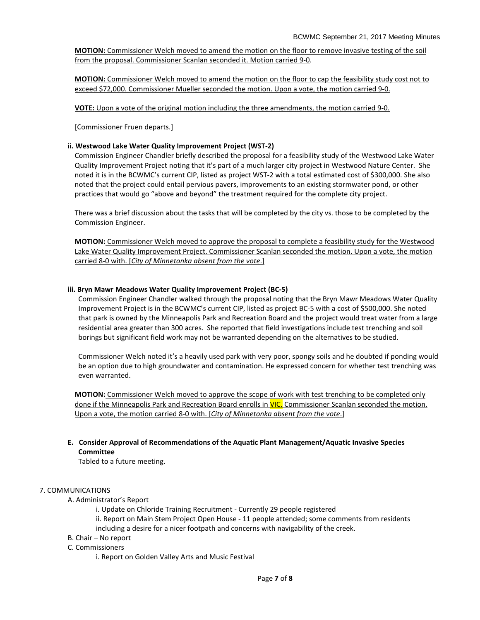**MOTION:** Commissioner Welch moved to amend the motion on the floor to remove invasive testing of the soil from the proposal. Commissioner Scanlan seconded it. Motion carried 9-0.

**MOTION:** Commissioner Welch moved to amend the motion on the floor to cap the feasibility study cost not to exceed \$72,000. Commissioner Mueller seconded the motion. Upon a vote, the motion carried 9-0.

**VOTE:** Upon a vote of the original motion including the three amendments, the motion carried 9-0.

[Commissioner Fruen departs.]

### **ii. Westwood Lake Water Quality Improvement Project (WST-2)**

Commission Engineer Chandler briefly described the proposal for a feasibility study of the Westwood Lake Water Quality Improvement Project noting that it's part of a much larger city project in Westwood Nature Center. She noted it is in the BCWMC's current CIP, listed as project WST-2 with a total estimated cost of \$300,000. She also noted that the project could entail pervious pavers, improvements to an existing stormwater pond, or other practices that would go "above and beyond" the treatment required for the complete city project.

There was a brief discussion about the tasks that will be completed by the city vs. those to be completed by the Commission Engineer.

**MOTION:** Commissioner Welch moved to approve the proposal to complete a feasibility study for the Westwood Lake Water Quality Improvement Project. Commissioner Scanlan seconded the motion. Upon a vote, the motion carried 8-0 with. [*City of Minnetonka absent from the vote*.]

### **iii. Bryn Mawr Meadows Water Quality Improvement Project (BC-5)**

Commission Engineer Chandler walked through the proposal noting that the Bryn Mawr Meadows Water Quality Improvement Project is in the BCWMC's current CIP, listed as project BC-5 with a cost of \$500,000. She noted that park is owned by the Minneapolis Park and Recreation Board and the project would treat water from a large residential area greater than 300 acres. She reported that field investigations include test trenching and soil borings but significant field work may not be warranted depending on the alternatives to be studied.

Commissioner Welch noted it's a heavily used park with very poor, spongy soils and he doubted if ponding would be an option due to high groundwater and contamination. He expressed concern for whether test trenching was even warranted.

**MOTION:** Commissioner Welch moved to approve the scope of work with test trenching to be completed only done if the Minneapolis Park and Recreation Board enrolls in VIC. Commissioner Scanlan seconded the motion. Upon a vote, the motion carried 8-0 with. [*City of Minnetonka absent from the vote*.]

## **E. Consider Approval of Recommendations of the Aquatic Plant Management/Aquatic Invasive Species Committee**

Tabled to a future meeting.

### 7. COMMUNICATIONS

- A. Administrator's Report
	- i. Update on Chloride Training Recruitment Currently 29 people registered ii. Report on Main Stem Project Open House - 11 people attended; some comments from residents including a desire for a nicer footpath and concerns with navigability of the creek.
- B. Chair No report
- C. Commissioners
	- i. Report on Golden Valley Arts and Music Festival